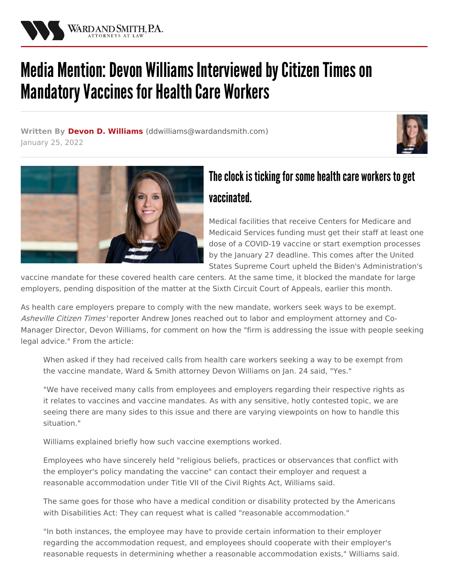

## Media Mention: Devon Williams Interviewed by Citizen Times on **Mandatory Vaccines for Health Care Workers**

**Written By Devon D. [Williams](/attorneys/devon-williams) (**[ddwilliams@wardandsmith.com](mailto:ddwilliams@wardandsmith.com)**)** January 25, 2022





## The clock is ticking for some health care workers to get vaccinated.

Medical facilities that receive Centers for Medicare and Medicaid Services funding must get their staff at least one dose of a COVID-19 vaccine or start exemption processes by the January 27 deadline. This comes after the United States Supreme Court upheld the Biden's [Administration's](/articles/split-decision-scotus-stays-osha-ets-while-upholding-cms-vaccine-mandate)

vaccine mandate for these covered health care centers. At the same time, it blocked the mandate for large employers, pending disposition of the matter at the Sixth Circuit Court of Appeals, earlier this month.

As health care employers prepare to comply with the new mandate, workers seek ways to be exempt. Asheville Citizen Times' reporter Andrew Jones reached out to labor and employment attorney and Co-Manager Director, Devon [Williams](/attorneys/devon-williams), for comment on how the "firm is addressing the issue with people seeking legal advice." From the article:

When asked if they had received calls from health care workers seeking a way to be exempt from the vaccine mandate, Ward & Smith attorney Devon Williams on Jan. 24 said, "Yes."

"We have received many calls from employees and employers regarding their respective rights as it relates to vaccines and vaccine mandates. As with any sensitive, hotly contested topic, we are seeing there are many sides to this issue and there are varying viewpoints on how to handle this situation."

Williams explained briefly how such vaccine exemptions worked.

Employees who have sincerely held "religious beliefs, practices or observances that conflict with the employer's policy mandating the vaccine" can contact their employer and request a reasonable accommodation under Title VII of the Civil Rights Act, Williams said.

The same goes for those who have a medical condition or disability protected by the Americans with Disabilities Act: They can request what is called "reasonable accommodation."

"In both instances, the employee may have to provide certain information to their employer regarding the accommodation request, and employees should cooperate with their employer's reasonable requests in determining whether a reasonable accommodation exists," Williams said.